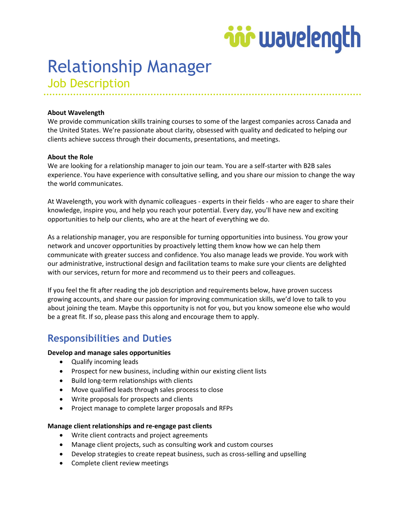# *io* wavelength

# Relationship Manager

## Job Description

#### **About Wavelength**

We provide communication skills training courses to some of the largest companies across Canada and the United States. We're passionate about clarity, obsessed with quality and dedicated to helping our clients achieve success through their documents, presentations, and meetings.

#### **About the Role**

We are looking for a relationship manager to join our team. You are a self-starter with B2B sales experience. You have experience with consultative selling, and you share our mission to change the way the world communicates.

At Wavelength, you work with dynamic colleagues - experts in their fields - who are eager to share their knowledge, inspire you, and help you reach your potential. Every day, you'll have new and exciting opportunities to help our clients, who are at the heart of everything we do.

As a relationship manager, you are responsible for turning opportunities into business. You grow your network and uncover opportunities by proactively letting them know how we can help them communicate with greater success and confidence. You also manage leads we provide. You work with our administrative, instructional design and facilitation teams to make sure your clients are delighted with our services, return for more and recommend us to their peers and colleagues.

If you feel the fit after reading the job description and requirements below, have proven success growing accounts, and share our passion for improving communication skills, we'd love to talk to you about joining the team. Maybe this opportunity is not for you, but you know someone else who would be a great fit. If so, please pass this along and encourage them to apply.

### **Responsibilities and Duties**

#### **Develop and manage sales opportunities**

- Qualify incoming leads
- Prospect for new business, including within our existing client lists
- Build long-term relationships with clients
- Move qualified leads through sales process to close
- Write proposals for prospects and clients
- Project manage to complete larger proposals and RFPs

#### **Manage client relationships and re-engage past clients**

- Write client contracts and project agreements
- Manage client projects, such as consulting work and custom courses
- Develop strategies to create repeat business, such as cross-selling and upselling
- Complete client review meetings